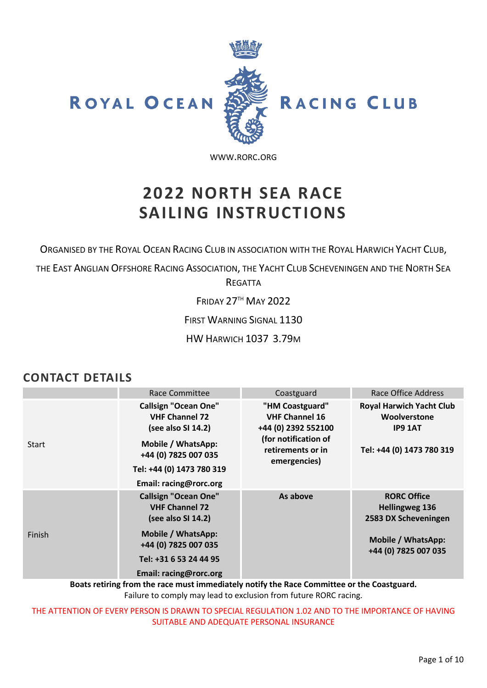

[WWW](http://www.rorc.org/).RORC.ORG

# **2022 NORTH SEA RACE SAILING INSTRUCTIONS**

ORGANISED BY THE ROYAL OCEAN RACING CLUB IN ASSOCIATION WITH THE ROYAL HARWICH YACHT CLUB,

THE EAST ANGLIAN OFFSHORE RACING ASSOCIATION, THE YACHT CLUB SCHEVENINGEN AND THE NORTH SEA REGATTA

FRIDAY 27TH MAY 2022

FIRST WARNING SIGNAL 1130

HW HARWICH 1037 3.79M

### **CONTACT DETAILS**

|              | Race Committee                                                                                                                                                                  | Coastguard                                                                                                                   | Race Office Address                                                                                               |
|--------------|---------------------------------------------------------------------------------------------------------------------------------------------------------------------------------|------------------------------------------------------------------------------------------------------------------------------|-------------------------------------------------------------------------------------------------------------------|
| <b>Start</b> | <b>Callsign "Ocean One"</b><br><b>VHF Channel 72</b><br>(see also SI 14.2)<br>Mobile / WhatsApp:<br>+44 (0) 7825 007 035<br>Tel: +44 (0) 1473 780 319<br>Email: racing@rorc.org | "HM Coastguard"<br><b>VHF Channel 16</b><br>+44 (0) 2392 552100<br>(for notification of<br>retirements or in<br>emergencies) | <b>Royal Harwich Yacht Club</b><br>Woolverstone<br><b>IP9 1AT</b><br>Tel: +44 (0) 1473 780 319                    |
| Finish       | <b>Callsign "Ocean One"</b><br><b>VHF Channel 72</b><br>(see also SI 14.2)<br>Mobile / WhatsApp:<br>+44 (0) 7825 007 035<br>Tel: +31 6 53 24 44 95<br>Email: racing@rorc.org    | As above                                                                                                                     | <b>RORC Office</b><br><b>Hellingweg 136</b><br>2583 DX Scheveningen<br>Mobile / WhatsApp:<br>+44 (0) 7825 007 035 |

**Boats retiring from the race must immediately notify the Race Committee or the Coastguard.** Failure to comply may lead to exclusion from future RORC racing.

THE ATTENTION OF EVERY PERSON IS DRAWN TO SPECIAL REGULATION 1.02 AND TO THE IMPORTANCE OF HAVING SUITABLE AND ADEQUATE PERSONAL INSURANCE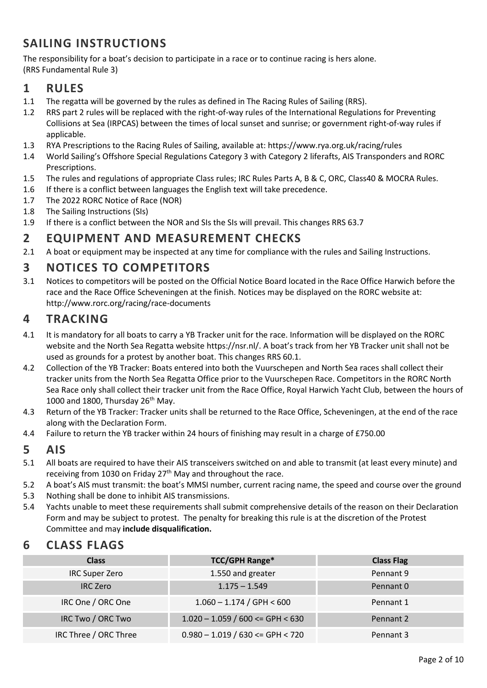# **SAILING INSTRUCTIONS**

The responsibility for a boat's decision to participate in a race or to continue racing is hers alone. (RRS Fundamental Rule 3)

#### **1 RULES**

- 1.1 The regatta will be governed by the rules as defined in The Racing Rules of Sailing (RRS).
- 1.2 RRS part 2 rules will be replaced with the right-of-way rules of the International Regulations for Preventing Collisions at Sea (IRPCAS) between the times of local sunset and sunrise; or government right-of-way rules if applicable.
- 1.3 RYA Prescriptions to the Racing Rules of Sailing, available at: https://www.rya.org.uk/racing/rules
- 1.4 World Sailing's Offshore Special Regulations Category 3 with Category 2 liferafts, AIS Transponders and RORC Prescriptions.
- 1.5 The rules and regulations of appropriate Class rules; IRC Rules Parts A, B & C, ORC, Class40 & MOCRA Rules.
- 1.6 If there is a conflict between languages the English text will take precedence.
- 1.7 The 2022 RORC Notice of Race (NOR)
- 1.8 The Sailing Instructions (SIs)
- 1.9 If there is a conflict between the NOR and SIs the SIs will prevail. This changes RRS 63.7

#### **2 EQUIPMENT AND MEASUREMENT CHECKS**

2.1 A boat or equipment may be inspected at any time for compliance with the rules and Sailing Instructions.

### **3 NOTICES TO COMPETITORS**

3.1 Notices to competitors will be posted on the Official Notice Board located in the Race Office Harwich before the race and the Race Office Scheveningen at the finish. Notices may be displayed on the RORC website at: <http://www.rorc.org/racing/race-documents>

### **4 TRACKING**

- 4.1 It is mandatory for all boats to carry a YB Tracker unit for the race. Information will be displayed on the RORC website and the North Sea Regatta website <https://nsr.nl/>. A boat's track from her YB Tracker unit shall not be used as grounds for a protest by another boat. This changes RRS 60.1.
- 4.2 Collection of the YB Tracker: Boats entered into both the Vuurschepen and North Sea races shall collect their tracker units from the North Sea Regatta Office prior to the Vuurschepen Race. Competitors in the RORC North Sea Race only shall collect their tracker unit from the Race Office, Royal Harwich Yacht Club, between the hours of 1000 and 1800, Thursday  $26<sup>th</sup>$  May.
- 4.3 Return of the YB Tracker: Tracker units shall be returned to the Race Office, Scheveningen, at the end of the race along with the Declaration Form.
- 4.4 Failure to return the YB tracker within 24 hours of finishing may result in a charge of £750.00

#### **5 AIS**

- 5.1 All boats are required to have their AIS transceivers switched on and able to transmit (at least every minute) and receiving from 1030 on Friday  $27<sup>th</sup>$  May and throughout the race.
- 5.2 A boat's AIS must transmit: the boat's MMSI number, current racing name, the speed and course over the ground
- 5.3 Nothing shall be done to inhibit AIS transmissions.
- 5.4 Yachts unable to meet these requirements shall submit comprehensive details of the reason on their Declaration Form and may be subject to protest. The penalty for breaking this rule is at the discretion of the Protest Committee and may **include disqualification.**

### **6 CLASS FLAGS**

| <b>Class</b>          | <b>TCC/GPH Range*</b>                 | <b>Class Flag</b> |
|-----------------------|---------------------------------------|-------------------|
| <b>IRC Super Zero</b> | 1.550 and greater                     | Pennant 9         |
| <b>IRC</b> Zero       | $1.175 - 1.549$                       | Pennant 0         |
| IRC One / ORC One     | $1.060 - 1.174 / GPH < 600$           | Pennant 1         |
| IRC Two / ORC Two     | $1.020 - 1.059 / 600 \le$ GPH $< 630$ | Pennant 2         |
| IRC Three / ORC Three | $0.980 - 1.019 / 630 \leq GPH < 720$  | Pennant 3         |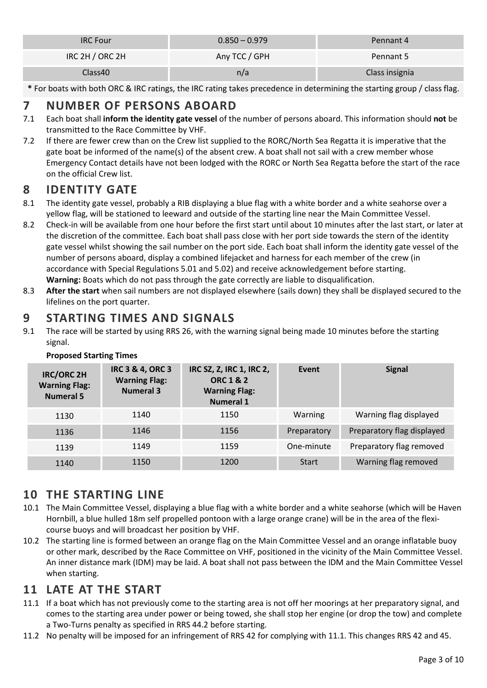| <b>IRC Four</b> | $0.850 - 0.979$ | Pennant 4      |
|-----------------|-----------------|----------------|
| IRC 2H / ORC 2H | Any TCC / GPH   | Pennant 5      |
| Class40         | n/a             | Class insignia |

**\*** For boats with both ORC & IRC ratings, the IRC rating takes precedence in determining the starting group / class flag.

### **7 NUMBER OF PERSONS ABOARD**

- 7.1 Each boat shall **inform the identity gate vessel** of the number of persons aboard. This information should **not** be transmitted to the Race Committee by VHF.
- 7.2 If there are fewer crew than on the Crew list supplied to the RORC/North Sea Regatta it is imperative that the gate boat be informed of the name(s) of the absent crew. A boat shall not sail with a crew member whose Emergency Contact details have not been lodged with the RORC or North Sea Regatta before the start of the race on the official Crew list.

### **8 IDENTITY GATE**

- 8.1 The identity gate vessel, probably a RIB displaying a blue flag with a white border and a white seahorse over a yellow flag, will be stationed to leeward and outside of the starting line near the Main Committee Vessel.
- 8.2 Check-in will be available from one hour before the first start until about 10 minutes after the last start, or later at the discretion of the committee. Each boat shall pass close with her port side towards the stern of the identity gate vessel whilst showing the sail number on the port side. Each boat shall inform the identity gate vessel of the number of persons aboard, display a combined lifejacket and harness for each member of the crew (in accordance with Special Regulations 5.01 and 5.02) and receive acknowledgement before starting. **Warning:** Boats which do not pass through the gate correctly are liable to disqualification.
- 8.3 **After the start** when sail numbers are not displayed elsewhere (sails down) they shall be displayed secured to the lifelines on the port quarter.

## **9 STARTING TIMES AND SIGNALS**

9.1 The race will be started by using RRS 26, with the warning signal being made 10 minutes before the starting signal.

| <b>IRC/ORC 2H</b><br><b>Warning Flag:</b><br><b>Numeral 5</b> | <b>IRC 3 &amp; 4, ORC 3</b><br><b>Warning Flag:</b><br><b>Numeral 3</b> | IRC SZ, Z, IRC 1, IRC 2,<br><b>ORC 1 &amp; 2</b><br><b>Warning Flag:</b><br><b>Numeral 1</b> | Event        | <b>Signal</b>              |
|---------------------------------------------------------------|-------------------------------------------------------------------------|----------------------------------------------------------------------------------------------|--------------|----------------------------|
| 1130                                                          | 1140                                                                    | 1150                                                                                         | Warning      | Warning flag displayed     |
| 1136                                                          | 1146                                                                    | 1156                                                                                         | Preparatory  | Preparatory flag displayed |
| 1139                                                          | 1149                                                                    | 1159                                                                                         | One-minute   | Preparatory flag removed   |
| 1140                                                          | 1150                                                                    | 1200                                                                                         | <b>Start</b> | Warning flag removed       |

#### **Proposed Starting Times**

### **10 THE STARTING LINE**

- 10.1 The Main Committee Vessel, displaying a blue flag with a white border and a white seahorse (which will be Haven Hornbill, a blue hulled 18m self propelled pontoon with a large orange crane) will be in the area of the flexicourse buoys and will broadcast her position by VHF.
- 10.2 The starting line is formed between an orange flag on the Main Committee Vessel and an orange inflatable buoy or other mark, described by the Race Committee on VHF, positioned in the vicinity of the Main Committee Vessel. An inner distance mark (IDM) may be laid. A boat shall not pass between the IDM and the Main Committee Vessel when starting.

### **11 LATE AT THE START**

- <span id="page-2-0"></span>11.1 If a boat which has not previously come to the starting area is not off her moorings at her preparatory signal, and comes to the starting area under power or being towed, she shall stop her engine (or drop the tow) and complete a Two-Turns penalty as specified in RRS 44.2 before starting.
- 11.2 No penalty will be imposed for an infringement of RRS 42 for complying wit[h 11.1.](#page-2-0) This changes RRS 42 and 45.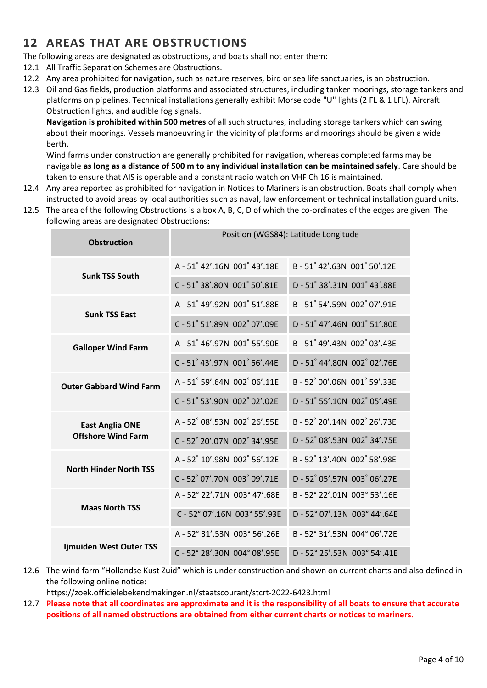# **12 AREAS THAT ARE OBSTRUCTIONS**

The following areas are designated as obstructions, and boats shall not enter them:

- 12.1 All Traffic Separation Schemes are Obstructions.
- 12.2 Any area prohibited for navigation, such as nature reserves, bird or sea life sanctuaries, is an obstruction.
- 12.3 Oil and Gas fields, production platforms and associated structures, including tanker moorings, storage tankers and platforms on pipelines. Technical installations generally exhibit Morse code "U" lights (2 FL & 1 LFL), Aircraft Obstruction lights, and audible fog signals.

**Navigation is prohibited within 500 metres** of all such structures, including storage tankers which can swing about their moorings. Vessels manoeuvring in the vicinity of platforms and moorings should be given a wide berth.

Wind farms under construction are generally prohibited for navigation, whereas completed farms may be navigable **as long as a distance of 500 m to any individual installation can be maintained safely**. Care should be taken to ensure that AIS is operable and a constant radio watch on VHF Ch 16 is maintained.

- 12.4 Any area reported as prohibited for navigation in Notices to Mariners is an obstruction. Boats shall comply when instructed to avoid areas by local authorities such as naval, law enforcement or technical installation guard units.
- 12.5 The area of the following Obstructions is a box A, B, C, D of which the co-ordinates of the edges are given. The following areas are designated Obstructions:

| <b>Obstruction</b>             | Position (WGS84): Latitude Longitude |                              |  |
|--------------------------------|--------------------------------------|------------------------------|--|
| <b>Sunk TSS South</b>          | A-51°42'.16N 001°43'.18E             | B-51°42'.63N 001°50'.12E     |  |
|                                | C-51°38'.80N 001°50'.81E             | D - 51° 38'.31N 001° 43'.88E |  |
| <b>Sunk TSS East</b>           | A-51°49'.92N 001°51'.88E             | B-51°54'.59N 002°07'.91E     |  |
|                                | C-51°51'.89N 002°07'.09E             | D-51°47'.46N 001°51'.80E     |  |
| <b>Galloper Wind Farm</b>      | A - 51° 46'.97N 001° 55'.90E         | B-51°49'.43N 002°03'.43E     |  |
|                                | C-51°43'.97N 001°56'.44E             | D - 51° 44'.80N 002° 02'.76E |  |
| <b>Outer Gabbard Wind Farm</b> | A-51°59'.64N 002°06'.11E             | B-52°00'.06N 001°59'.33E     |  |
|                                | C-51°53'.90N 002°02'.02E             | D - 51° 55'.10N 002° 05'.49E |  |
| <b>East Anglia ONE</b>         | A - 52° 08'.53N 002° 26'.55E         | B-52°20'.14N 002°26'.73E     |  |
| <b>Offshore Wind Farm</b>      | C-52°20'.07N 002°34'.95E             | D - 52° 08'.53N 002° 34'.75E |  |
| <b>North Hinder North TSS</b>  | A - 52° 10'.98N 002° 56'.12E         | B-52°13'.40N 002°58'.98E     |  |
|                                | C-52°07'.70N 003°09'.71E             | D-52 05'.57N 003 06'.27E     |  |
| <b>Maas North TSS</b>          | A - 52° 22'.71N 003° 47'.68E         | B-52°22'.01N 003°53'.16E     |  |
|                                | C-52°07'.16N 003°55'.93E             | D - 52° 07'.13N 003° 44'.64E |  |
|                                | A - 52° 31'.53N 003° 56'.26E         | B-52°31'.53N 004°06'.72E     |  |
| Ijmuiden West Outer TSS        | C-52°28'.30N 004°08'.95E             | D - 52° 25'.53N 003° 54'.41E |  |

12.6 The wind farm "Hollandse Kust Zuid" which is under construction and shown on current charts and also defined in the following online notice:

<https://zoek.officielebekendmakingen.nl/staatscourant/stcrt-2022-6423.html>

12.7 **Please note that all coordinates are approximate and it is the responsibility of all boats to ensure that accurate positions of all named obstructions are obtained from either current charts or notices to mariners.**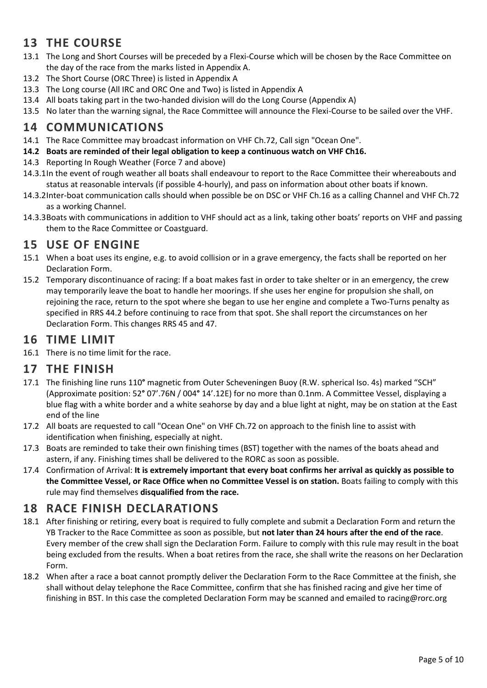# **13 THE COURSE**

- 13.1 The Long and Short Courses will be preceded by a Flexi-Course which will be chosen by the Race Committee on the day of the race from the marks listed in Appendix A.
- 13.2 The Short Course (ORC Three) is listed in Appendix A
- 13.3 The Long course (All IRC and ORC One and Two) is listed in Appendix A
- 13.4 All boats taking part in the two-handed division will do the Long Course (Appendix A)
- 13.5 No later than the warning signal, the Race Committee will announce the Flexi-Course to be sailed over the VHF.

#### **14 COMMUNICATIONS**

- 14.1 The Race Committee may broadcast information on VHF Ch.72, Call sign "Ocean One".
- <span id="page-4-0"></span>**14.2 Boats are reminded of their legal obligation to keep a continuous watch on VHF Ch16.**
- 14.3 Reporting In Rough Weather (Force 7 and above)
- 14.3.1In the event of rough weather all boats shall endeavour to report to the Race Committee their whereabouts and status at reasonable intervals (if possible 4-hourly), and pass on information about other boats if known.
- 14.3.2Inter-boat communication calls should when possible be on DSC or VHF Ch.16 as a calling Channel and VHF Ch.72 as a working Channel.
- 14.3.3Boats with communications in addition to VHF should act as a link, taking other boats' reports on VHF and passing them to the Race Committee or Coastguard.

### **15 USE OF ENGINE**

- 15.1 When a boat uses its engine, e.g. to avoid collision or in a grave emergency, the facts shall be reported on her Declaration Form.
- 15.2 Temporary discontinuance of racing: If a boat makes fast in order to take shelter or in an emergency, the crew may temporarily leave the boat to handle her moorings. If she uses her engine for propulsion she shall, on rejoining the race, return to the spot where she began to use her engine and complete a Two-Turns penalty as specified in RRS 44.2 before continuing to race from that spot. She shall report the circumstances on her Declaration Form. This changes RRS 45 and 47.

### **16 TIME LIMIT**

16.1 There is no time limit for the race.

#### **17 THE FINISH**

- 17.1 The finishing line runs 110**°** magnetic from Outer Scheveningen Buoy (R.W. spherical Iso. 4s) marked "SCH" (Approximate position: 52**°** 07'.76N / 004**°** 14'.12E) for no more than 0.1nm. A Committee Vessel, displaying a blue flag with a white border and a white seahorse by day and a blue light at night, may be on station at the East end of the line
- 17.2 All boats are requested to call "Ocean One" on VHF Ch.72 on approach to the finish line to assist with identification when finishing, especially at night.
- 17.3 Boats are reminded to take their own finishing times (BST) together with the names of the boats ahead and astern, if any. Finishing times shall be delivered to the RORC as soon as possible.
- 17.4 Confirmation of Arrival: **It is extremely important that every boat confirms her arrival as quickly as possible to the Committee Vessel, or Race Office when no Committee Vessel is on station.** Boats failing to comply with this rule may find themselves **disqualified from the race.**

### **18 RACE FINISH DECLARATIONS**

- 18.1 After finishing or retiring, every boat is required to fully complete and submit a Declaration Form and return the YB Tracker to the Race Committee as soon as possible, but **not later than 24 hours after the end of the race**. Every member of the crew shall sign the Declaration Form. Failure to comply with this rule may result in the boat being excluded from the results. When a boat retires from the race, she shall write the reasons on her Declaration Form.
- 18.2 When after a race a boat cannot promptly deliver the Declaration Form to the Race Committee at the finish, she shall without delay telephone the Race Committee, confirm that she has finished racing and give her time of finishing in BST. In this case the completed Declaration Form may be scanned and emailed to [racing@rorc.org](mailto:racing@rorc.org)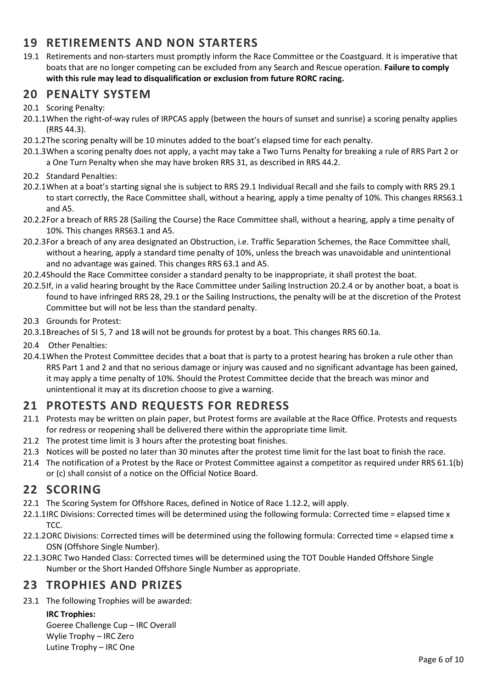# **19 RETIREMENTS AND NON STARTERS**

19.1 Retirements and non-starters must promptly inform the Race Committee or the Coastguard. It is imperative that boats that are no longer competing can be excluded from any Search and Rescue operation. **Failure to comply with this rule may lead to disqualification or exclusion from future RORC racing.**

#### **20 PENALTY SYSTEM**

- 20.1 Scoring Penalty:
- 20.1.1When the right-of-way rules of IRPCAS apply (between the hours of sunset and sunrise) a scoring penalty applies (RRS 44.3).
- 20.1.2The scoring penalty will be 10 minutes added to the boat's elapsed time for each penalty.
- 20.1.3When a scoring penalty does not apply, a yacht may take a Two Turns Penalty for breaking a rule of RRS Part 2 or a One Turn Penalty when she may have broken RRS 31, as described in RRS 44.2.
- 20.2 Standard Penalties:
- 20.2.1When at a boat's starting signal she is subject to RRS 29.1 Individual Recall and she fails to comply with RRS 29.1 to start correctly, the Race Committee shall, without a hearing, apply a time penalty of 10%. This changes RRS63.1 and A5.
- 20.2.2For a breach of RRS 28 (Sailing the Course) the Race Committee shall, without a hearing, apply a time penalty of 10%. This changes RRS63.1 and A5.
- 20.2.3For a breach of any area designated an Obstruction, i.e. Traffic Separation Schemes, the Race Committee shall, without a hearing, apply a standard time penalty of 10%, unless the breach was unavoidable and unintentional and no advantage was gained. This changes RRS 63.1 and A5.
- <span id="page-5-0"></span>20.2.4Should the Race Committee consider a standard penalty to be inappropriate, it shall protest the boat.
- 20.2.5If, in a valid hearing brought by the Race Committee under Sailing Instruction [20.2.4](#page-5-0) or by another boat, a boat is found to have infringed RRS 28, 29.1 or the Sailing Instructions, the penalty will be at the discretion of the Protest Committee but will not be less than the standard penalty.
- 20.3 Grounds for Protest:
- 20.3.1Breaches of SI 5, 7 and 18 will not be grounds for protest by a boat. This changes RRS 60.1a.
- 20.4 Other Penalties:
- 20.4.1When the Protest Committee decides that a boat that is party to a protest hearing has broken a rule other than RRS Part 1 and 2 and that no serious damage or injury was caused and no significant advantage has been gained, it may apply a time penalty of 10%. Should the Protest Committee decide that the breach was minor and unintentional it may at its discretion choose to give a warning.

### **21 PROTESTS AND REQUESTS FOR REDRESS**

- 21.1 Protests may be written on plain paper, but Protest forms are available at the Race Office. Protests and requests for redress or reopening shall be delivered there within the appropriate time limit.
- 21.2 The protest time limit is 3 hours after the protesting boat finishes.
- 21.3 Notices will be posted no later than 30 minutes after the protest time limit for the last boat to finish the race.
- 21.4 The notification of a Protest by the Race or Protest Committee against a competitor as required under RRS 61.1(b) or (c) shall consist of a notice on the Official Notice Board.

### **22 SCORING**

- 22.1 The Scoring System for Offshore Races, defined in Notice of Race 1.12.2, will apply.
- 22.1.1IRC Divisions: Corrected times will be determined using the following formula: Corrected time = elapsed time x T<sub>C</sub>C.
- 22.1.2ORC Divisions: Corrected times will be determined using the following formula: Corrected time = elapsed time x OSN (Offshore Single Number).
- 22.1.3ORC Two Handed Class: Corrected times will be determined using the TOT Double Handed Offshore Single Number or the Short Handed Offshore Single Number as appropriate.

### **23 TROPHIES AND PRIZES**

23.1 The following Trophies will be awarded:

#### **IRC Trophies:**

Goeree Challenge Cup – IRC Overall Wylie Trophy – IRC Zero Lutine Trophy – IRC One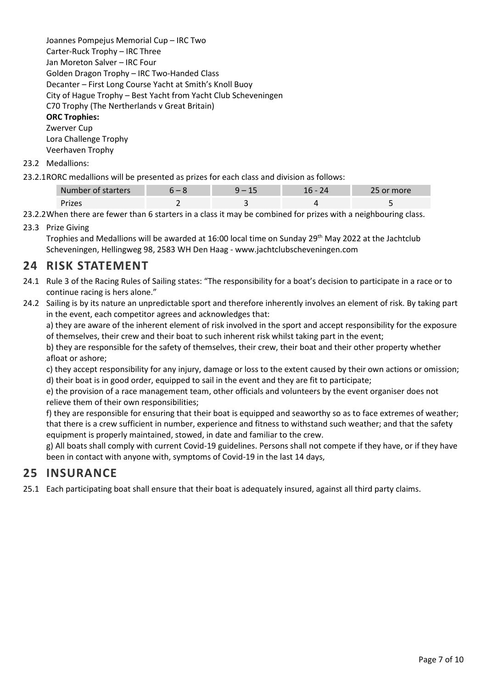Joannes Pompejus Memorial Cup – IRC Two Carter-Ruck Trophy – IRC Three Jan Moreton Salver – IRC Four Golden Dragon Trophy – IRC Two-Handed Class Decanter – First Long Course Yacht at Smith's Knoll Buoy City of Hague Trophy – Best Yacht from Yacht Club Scheveningen C70 Trophy (The Nertherlands v Great Britain) **ORC Trophies:** Zwerver Cup

Lora Challenge Trophy Veerhaven Trophy

- 23.2 Medallions:
- 23.2.1RORC medallions will be presented as prizes for each class and division as follows:

| Number of starters |  | more |
|--------------------|--|------|
|                    |  |      |

- 23.2.2When there are fewer than 6 starters in a class it may be combined for prizes with a neighbouring class.
- 23.3 Prize Giving

Trophies and Medallions will be awarded at 16:00 local time on Sunday 29th May 2022 at the Jachtclub Scheveningen, Hellingweg 98, 2583 WH Den Haag - [www.jachtclubscheveningen.com](http://www.jachtclubscheveningen.com/)

### **24 RISK STATEMENT**

- 24.1 Rule 3 of the Racing Rules of Sailing states: "The responsibility for a boat's decision to participate in a race or to continue racing is hers alone."
- 24.2 Sailing is by its nature an unpredictable sport and therefore inherently involves an element of risk. By taking part in the event, each competitor agrees and acknowledges that:

a) they are aware of the inherent element of risk involved in the sport and accept responsibility for the exposure of themselves, their crew and their boat to such inherent risk whilst taking part in the event;

b) they are responsible for the safety of themselves, their crew, their boat and their other property whether afloat or ashore;

c) they accept responsibility for any injury, damage or loss to the extent caused by their own actions or omission; d) their boat is in good order, equipped to sail in the event and they are fit to participate;

e) the provision of a race management team, other officials and volunteers by the event organiser does not relieve them of their own responsibilities;

f) they are responsible for ensuring that their boat is equipped and seaworthy so as to face extremes of weather; that there is a crew sufficient in number, experience and fitness to withstand such weather; and that the safety equipment is properly maintained, stowed, in date and familiar to the crew.

g) All boats shall comply with current Covid-19 guidelines. Persons shall not compete if they have, or if they have been in contact with anyone with, symptoms of Covid-19 in the last 14 days,

### **25 INSURANCE**

25.1 Each participating boat shall ensure that their boat is adequately insured, against all third party claims.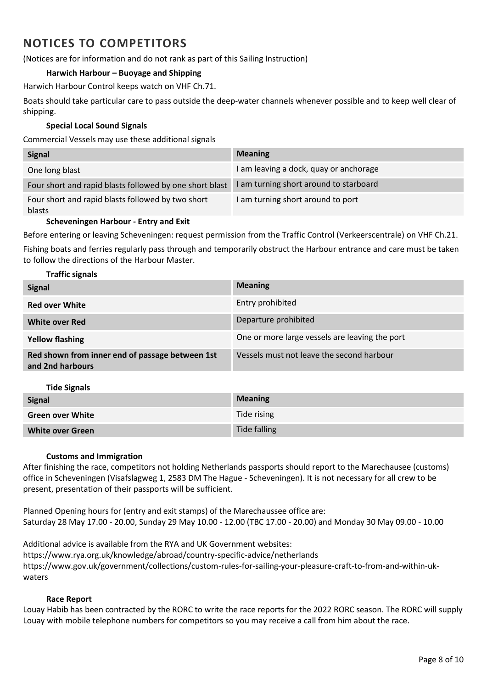# **NOTICES TO COMPETITORS**

(Notices are for information and do not rank as part of this Sailing Instruction)

#### **Harwich Harbour – Buoyage and Shipping**

Harwich Harbour Control keeps watch on VHF Ch.71.

Boats should take particular care to pass outside the deep-water channels whenever possible and to keep well clear of shipping.

#### **Special Local Sound Signals**

Commercial Vessels may use these additional signals

| <b>Signal</b>                                               | <b>Meaning</b>                         |
|-------------------------------------------------------------|----------------------------------------|
| One long blast                                              | I am leaving a dock, quay or anchorage |
| Four short and rapid blasts followed by one short blast     | I am turning short around to starboard |
| Four short and rapid blasts followed by two short<br>blasts | I am turning short around to port      |

#### **Scheveningen Harbour - Entry and Exit**

Before entering or leaving Scheveningen: request permission from the Traffic Control (Verkeerscentrale) on VHF Ch.21. Fishing boats and ferries regularly pass through and temporarily obstruct the Harbour entrance and care must be taken to follow the directions of the Harbour Master.

#### **Traffic signals**

| <b>Signal</b>                                                       | <b>Meaning</b>                                 |
|---------------------------------------------------------------------|------------------------------------------------|
| <b>Red over White</b>                                               | Entry prohibited                               |
| <b>White over Red</b>                                               | Departure prohibited                           |
| <b>Yellow flashing</b>                                              | One or more large vessels are leaving the port |
| Red shown from inner end of passage between 1st<br>and 2nd harbours | Vessels must not leave the second harbour      |

| <b>Tide Signals</b>     |                |
|-------------------------|----------------|
| <b>Signal</b>           | <b>Meaning</b> |
| <b>Green over White</b> | Tide rising    |
| <b>White over Green</b> | Tide falling   |

#### **Customs and Immigration**

After finishing the race, competitors not holding Netherlands passports should report to the Marechausee (customs) office in Scheveningen (Visafslagweg 1, 2583 DM The Hague - Scheveningen). It is not necessary for all crew to be present, presentation of their passports will be sufficient.

Planned Opening hours for (entry and exit stamps) of the Marechaussee office are: Saturday 28 May 17.00 - 20.00, Sunday 29 May 10.00 - 12.00 (TBC 17.00 - 20.00) and Monday 30 May 09.00 - 10.00

Additional advice is available from the RYA and UK Government websites: https://www.rya.org.uk/knowledge/abroad/country-specific-advice/netherlands https://www.gov.uk/government/collections/custom-rules-for-sailing-your-pleasure-craft-to-from-and-within-ukwaters

#### **Race Report**

Louay Habib has been contracted by the RORC to write the race reports for the 2022 RORC season. The RORC will supply Louay with mobile telephone numbers for competitors so you may receive a call from him about the race.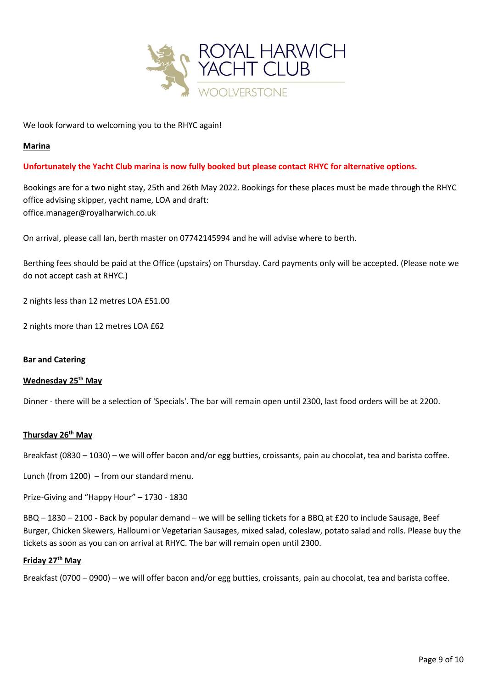

We look forward to welcoming you to the RHYC again!

#### **Marina**

#### **Unfortunately the Yacht Club marina is now fully booked but please contact RHYC for alternative options.**

Bookings are for a two night stay, 25th and 26th May 2022. Bookings for these places must be made through the RHYC office advising skipper, yacht name, LOA and draft: [office.manager@royalharwich.co.uk](mailto:office.manager@royalharwich.co.uk)

On arrival, please call Ian, berth master on 07742145994 and he will advise where to berth.

Berthing fees should be paid at the Office (upstairs) on Thursday. Card payments only will be accepted. (Please note we do not accept cash at RHYC.)

2 nights less than 12 metres LOA £51.00

2 nights more than 12 metres LOA £62

#### **Bar and Catering**

#### **Wednesday 25th May**

Dinner - there will be a selection of 'Specials'. The bar will remain open until 2300, last food orders will be at 2200.

#### **Thursday 26th May**

Breakfast (0830 – 1030) – we will offer bacon and/or egg butties, croissants, pain au chocolat, tea and barista coffee.

Lunch (from 1200) – from our standard menu.

Prize-Giving and "Happy Hour" – 1730 - 1830

BBQ – 1830 – 2100 - Back by popular demand – we will be selling tickets for a BBQ at £20 to include Sausage, Beef Burger, Chicken Skewers, Halloumi or Vegetarian Sausages, mixed salad, coleslaw, potato salad and rolls. Please buy the tickets as soon as you can on arrival at RHYC. The bar will remain open until 2300.

#### **Friday 27th May**

Breakfast (0700 – 0900) – we will offer bacon and/or egg butties, croissants, pain au chocolat, tea and barista coffee.